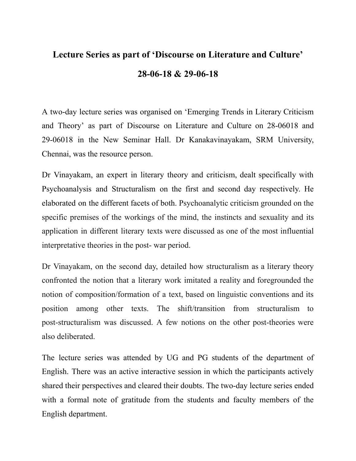## **Lecture Series as part of 'Discourse on Literature and Culture' 28-06-18 & 29-06-18**

A two-day lecture series was organised on 'Emerging Trends in Literary Criticism and Theory' as part of Discourse on Literature and Culture on 28-06018 and 29-06018 in the New Seminar Hall. Dr Kanakavinayakam, SRM University, Chennai, was the resource person.

Dr Vinayakam, an expert in literary theory and criticism, dealt specifically with Psychoanalysis and Structuralism on the first and second day respectively. He elaborated on the different facets of both. Psychoanalytic criticism grounded on the specific premises of the workings of the mind, the instincts and sexuality and its application in different literary texts were discussed as one of the most influential interpretative theories in the post- war period.

Dr Vinayakam, on the second day, detailed how structuralism as a literary theory confronted the notion that a literary work imitated a reality and foregrounded the notion of composition/formation of a text, based on linguistic conventions and its position among other texts. The shift/transition from structuralism to post-structuralism was discussed. A few notions on the other post-theories were also deliberated.

The lecture series was attended by UG and PG students of the department of English. There was an active interactive session in which the participants actively shared their perspectives and cleared their doubts. The two-day lecture series ended with a formal note of gratitude from the students and faculty members of the English department.